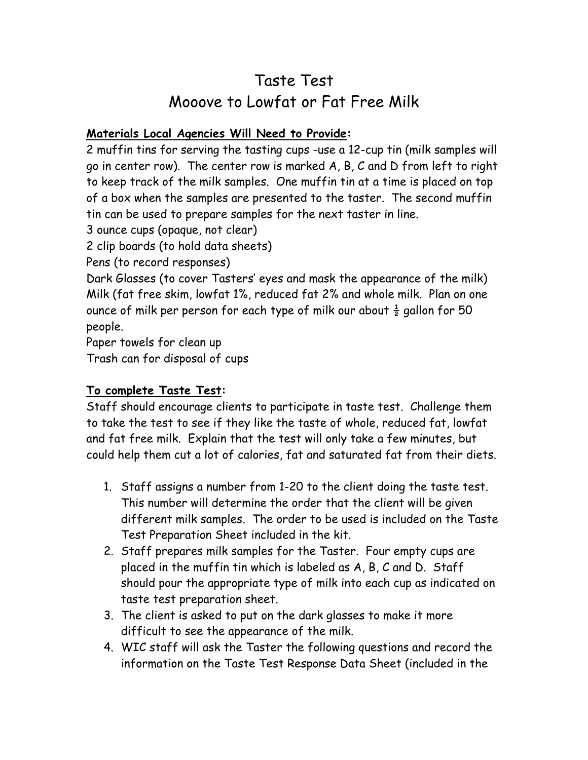## Taste Test Mooove to Lowfat or Fat Free Milk

#### **Materials Local Agencies Will Need to Provide:**

2 muffin tins for serving the tasting cups -use a 12-cup tin (milk samples will go in center row). The center row is marked A, B, C and D from left to right to keep track of the milk samples. One muffin tin at a time is placed on top of a box when the samples are presented to the taster. The second muffin tin can be used to prepare samples for the next taster in line.

3 ounce cups (opaque, not clear)

2 clip boards (to hold data sheets)

Pens (to record responses)

Dark Glasses (to cover Tasters' eyes and mask the appearance of the milk) Milk (fat free skim, lowfat 1%, reduced fat 2% and whole milk. Plan on one ounce of milk per person for each type of milk our about  $\frac{1}{2}$  gallon for 50 people.

Paper towels for clean up

Trash can for disposal of cups

#### **To complete Taste Test:**

Staff should encourage clients to participate in taste test. Challenge them to take the test to see if they like the taste of whole, reduced fat, lowfat and fat free milk. Explain that the test will only take a few minutes, but could help them cut a lot of calories, fat and saturated fat from their diets.

- 1. Staff assigns a number from 1-20 to the client doing the taste test. This number will determine the order that the client will be given different milk samples. The order to be used is included on the Taste Test Preparation Sheet included in the kit.
- 2. Staff prepares milk samples for the Taster. Four empty cups are placed in the muffin tin which is labeled as A, B, C and D. Staff should pour the appropriate type of milk into each cup as indicated on taste test preparation sheet.
- 3. The client is asked to put on the dark glasses to make it more difficult to see the appearance of the milk.
- 4. WIC staff will ask the Taster the following questions and record the information on the Taste Test Response Data Sheet (included in the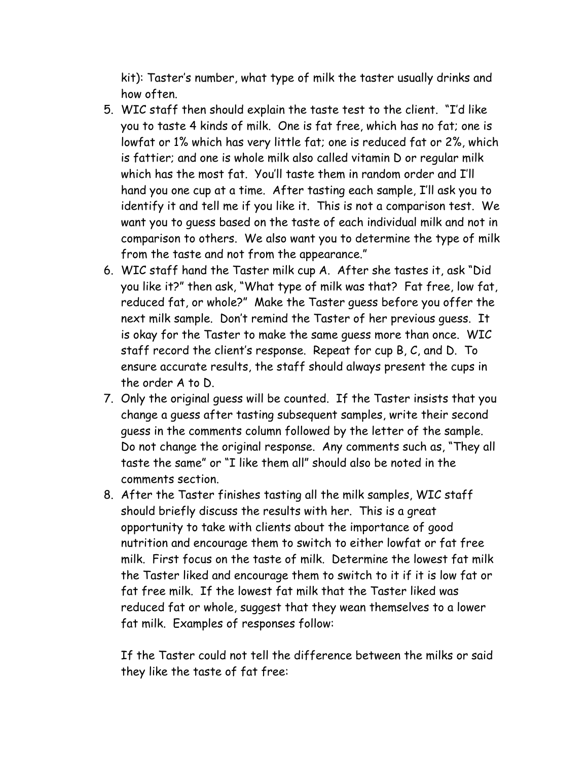kit): Taster's number, what type of milk the taster usually drinks and how often.

- 5. WIC staff then should explain the taste test to the client. "I'd like you to taste 4 kinds of milk. One is fat free, which has no fat; one is lowfat or 1% which has very little fat; one is reduced fat or 2%, which is fattier; and one is whole milk also called vitamin D or regular milk which has the most fat. You'll taste them in random order and I'll hand you one cup at a time. After tasting each sample, I'll ask you to identify it and tell me if you like it. This is not a comparison test. We want you to guess based on the taste of each individual milk and not in comparison to others. We also want you to determine the type of milk from the taste and not from the appearance."
- 6. WIC staff hand the Taster milk cup A. After she tastes it, ask "Did you like it?" then ask, "What type of milk was that? Fat free, low fat, reduced fat, or whole?" Make the Taster guess before you offer the next milk sample. Don't remind the Taster of her previous guess. It is okay for the Taster to make the same guess more than once. WIC staff record the client's response. Repeat for cup B, C, and D. To ensure accurate results, the staff should always present the cups in the order A to D.
- 7. Only the original guess will be counted. If the Taster insists that you change a guess after tasting subsequent samples, write their second guess in the comments column followed by the letter of the sample. Do not change the original response. Any comments such as, "They all taste the same" or "I like them all" should also be noted in the comments section.
- 8. After the Taster finishes tasting all the milk samples, WIC staff should briefly discuss the results with her. This is a great opportunity to take with clients about the importance of good nutrition and encourage them to switch to either lowfat or fat free milk. First focus on the taste of milk. Determine the lowest fat milk the Taster liked and encourage them to switch to it if it is low fat or fat free milk. If the lowest fat milk that the Taster liked was reduced fat or whole, suggest that they wean themselves to a lower fat milk. Examples of responses follow:

 If the Taster could not tell the difference between the milks or said they like the taste of fat free: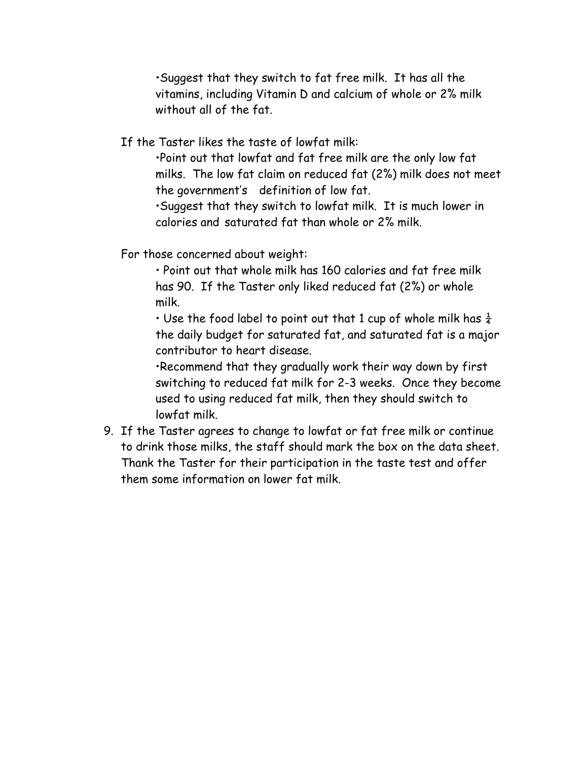•Suggest that they switch to fat free milk. It has all the vitamins, including Vitamin D and calcium of whole or 2% milk without all of the fat.

If the Taster likes the taste of lowfat milk:

 •Point out that lowfat and fat free milk are the only low fat milks. The low fat claim on reduced fat (2%) milk does not meet the government's definition of low fat. •Suggest that they switch to lowfat milk. It is much lower in

calories and saturated fat than whole or 2% milk.

For those concerned about weight:

 • Point out that whole milk has 160 calories and fat free milk has 90. If the Taster only liked reduced fat (2%) or whole milk.

• Use the food label to point out that 1 cup of whole milk has  $\frac{1}{4}$  the daily budget for saturated fat, and saturated fat is a major contributor to heart disease.

 •Recommend that they gradually work their way down by first switching to reduced fat milk for 2-3 weeks. Once they become used to using reduced fat milk, then they should switch to lowfat milk.

9. If the Taster agrees to change to lowfat or fat free milk or continue to drink those milks, the staff should mark the box on the data sheet. Thank the Taster for their participation in the taste test and offer them some information on lower fat milk.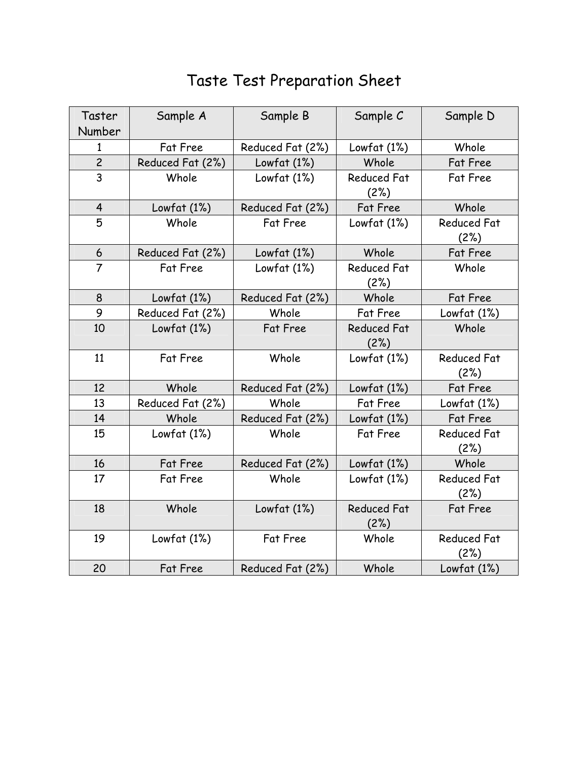| Taster<br>Number | Sample A         | Sample B         | Sample C                   | Sample D                   |
|------------------|------------------|------------------|----------------------------|----------------------------|
| $\mathbf{1}$     | Fat Free         | Reduced Fat (2%) | Lowfat (1%)                | Whole                      |
| $\overline{c}$   | Reduced Fat (2%) | Lowfat (1%)      | Whole                      | Fat Free                   |
| $\overline{3}$   | Whole            | Lowfat $(1%)$    | <b>Reduced Fat</b><br>(2%) | <b>Fat Free</b>            |
| $\overline{4}$   | Lowfat (1%)      | Reduced Fat (2%) | <b>Fat Free</b>            | Whole                      |
| 5                | Whole            | Fat Free         | Lowfat $(1%)$              | <b>Reduced Fat</b><br>(2%) |
| 6                | Reduced Fat (2%) | Lowfat (1%)      | Whole                      | <b>Fat Free</b>            |
| $\overline{7}$   | Fat Free         | Lowfat $(1%)$    | <b>Reduced Fat</b><br>(2%) | Whole                      |
| 8                | Lowfat $(1%)$    | Reduced Fat (2%) | Whole                      | Fat Free                   |
| 9                | Reduced Fat (2%) | Whole            | Fat Free                   | Lowfat $(1%)$              |
| 10               | Lowfat $(1%)$    | <b>Fat Free</b>  | <b>Reduced Fat</b><br>(2%) | Whole                      |
| 11               | Fat Free         | Whole            | Lowfat $(1%)$              | <b>Reduced Fat</b><br>(2%) |
| 12               | Whole            | Reduced Fat (2%) | Lowfat $(1%)$              | Fat Free                   |
| 13               | Reduced Fat (2%) | Whole            | Fat Free                   | Lowfat $(1%)$              |
| 14               | Whole            | Reduced Fat (2%) | Lowfat $(1%)$              | Fat Free                   |
| 15               | Lowfat $(1%)$    | Whole            | Fat Free                   | <b>Reduced Fat</b><br>(2%) |
| 16               | <b>Fat Free</b>  | Reduced Fat (2%) | Lowfat $(1%)$              | Whole                      |
| 17               | Fat Free         | Whole            | Lowfat $(1%)$              | <b>Reduced Fat</b><br>(2%) |
| 18               | Whole            | Lowfat $(1%)$    | <b>Reduced Fat</b><br>(2%) | Fat Free                   |
| 19               | Lowfat $(1%)$    | Fat Free         | Whole                      | <b>Reduced Fat</b><br>(2%) |
| 20               | <b>Fat Free</b>  | Reduced Fat (2%) | Whole                      | Lowfat (1%)                |

# Taste Test Preparation Sheet